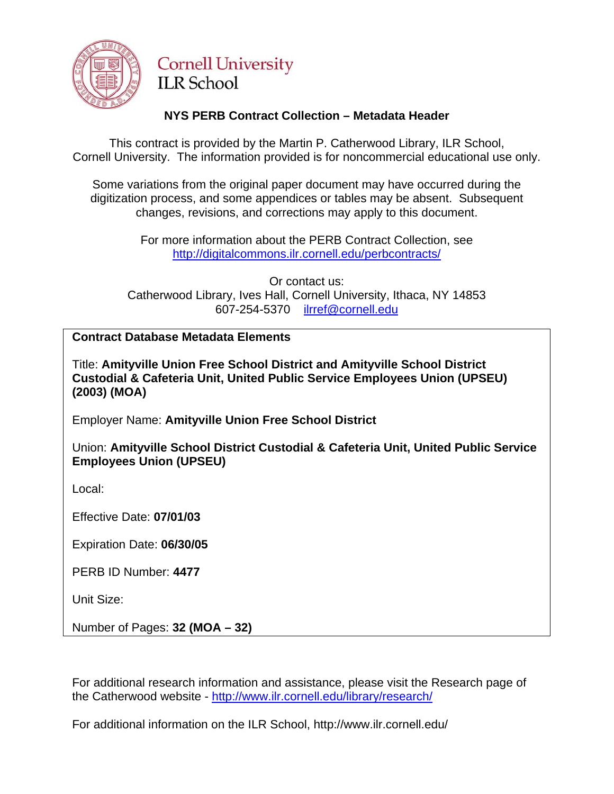

# **Cornell University ILR** School

## **NYS PERB Contract Collection – Metadata Header**

This contract is provided by the Martin P. Catherwood Library, ILR School, Cornell University. The information provided is for noncommercial educational use only.

Some variations from the original paper document may have occurred during the digitization process, and some appendices or tables may be absent. Subsequent changes, revisions, and corrections may apply to this document.

> For more information about the PERB Contract Collection, see http://digitalcommons.ilr.cornell.edu/perbcontracts/

Or contact us: Catherwood Library, Ives Hall, Cornell University, Ithaca, NY 14853 607-254-5370 [ilrref@cornell.edu](mailto:ilrref@cornell.edu)

**Contract Database Metadata Elements** 

Title: **Amityville Union Free School District and Amityville School District Custodial & Cafeteria Unit, United Public Service Employees Union (UPSEU) (2003) (MOA)** 

Employer Name: **Amityville Union Free School District**

Union: **Amityville School District Custodial & Cafeteria Unit, United Public Service Employees Union (UPSEU)**

Local:

Effective Date: **07/01/03**

Expiration Date: **06/30/05**

PERB ID Number: **4477**

Unit Size:

Number of Pages: **32 (MOA – 32)**

For additional research information and assistance, please visit the Research page of the Catherwood website -<http://www.ilr.cornell.edu/library/research/>

For additional information on the ILR School, http://www.ilr.cornell.edu/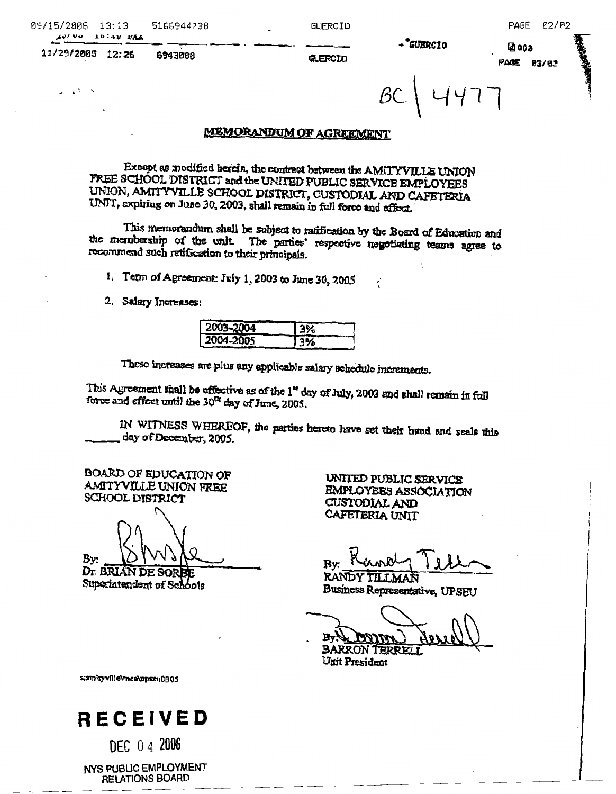09/15/2006 13:13 5166944738 ASING TOITA RUT

GUERCIO

+ GUERCIO

Ø ооз PAGE 83/83

11/29/2005 12:26 6943000

 $\frac{1}{2}$   $\frac{1}{2}$   $\frac{1}{2}$   $\frac{1}{2}$ 

GLERCIO

BC 4477

#### MEMORANDUM OF AGREEMENT

Except as modified herein, the contract between the AMITYVILLE UNION PREE SCHOOL DISTRICT and the UNITED PUBLIC SERVICE EMPLOYEES UNION, AMITYVILLE SCHOOL DISTRICT, CUSTODIAL AND CAFETERIA UNIT, expiring on June 30, 2003, shall remain in full force and effect.

This memorandum shall be subject to ratification by the Board of Education and the membership of the unit. The parties' respective negotiating teams agree to recommend such ratification to their principals.

1. Term of Agreement: July 1, 2003 to June 30, 2005

2. Salary Increases:

| $ 2003 - 2004$ | 3% |
|----------------|----|
| 12004-2005     | 3% |

These increases are plus any applicable salary schedule increments.

This Agreement shall be effective as of the 1<sup>st</sup> day of July, 2003 and shall remain in full force and effect until the 30<sup>th</sup> day of June, 2005.

IN WITNESS WHEREOF, the parties hereto have set their hand and seals this day of December, 2005.

BOARD OF EDUCATION OF AMITYVILLE UNION FREE SCHOOL DISTRICT

 $Bv:$ 

Dr. BRIAN DE SORBE Superintendent of Schools

UNITED PUBLIC SERVICE **EMPLOYEES ASSOCIATION** CUSTODIAL AND CAFETERIA UNIT

ť

RANDY TILLMAN

Business Representative, UPSEU

MYYM  $\mathbf{E} \mathbf{v}$ 

**BARRON TERRELI** Unit President

s:smityville\moa\upseu0305

**RECEIVED** 

DFC  $0.4$  2006

NYS PUBLIC EMPLOYMENT **RELATIONS BOARD**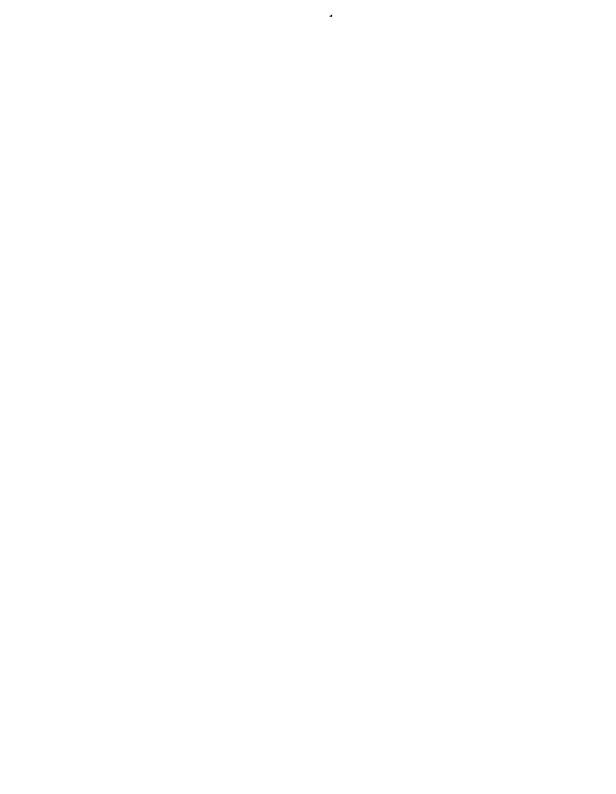$\overline{\phantom{a}}$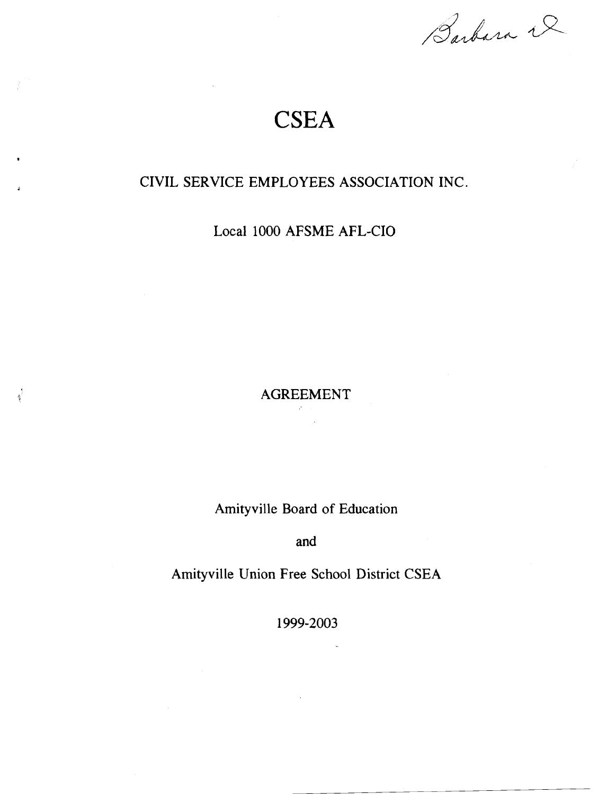Barbara 2

# **CSEA**

# **CIVIL SERVICE EMPLOYEES ASSOCIATION INC** .

**Local 1000 AFSME AFL-CIO** 

**AGREEMENT**   $\mathcal{A}^{\text{L}}$  and

 $\frac{1}{4}$ 

**Amityville Board of Education** 

**and** 

**Amityville Union Free School District CSEA** 

1999-2003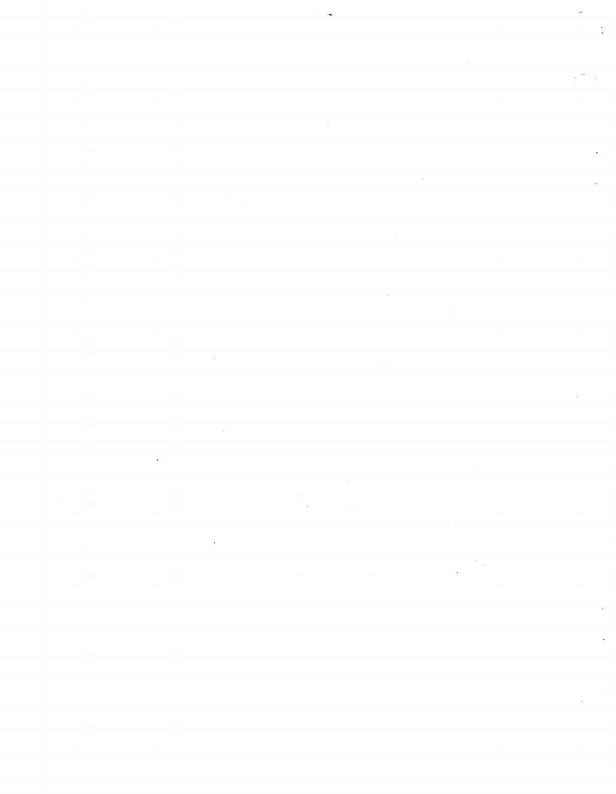$\label{eq:2.1} \frac{1}{\sqrt{2}}\int_{\mathbb{R}^3} \frac{d\mu}{\mu} \left( \frac{d\mu}{\mu} \right)^2 \frac{d\mu}{\mu} \left( \frac{d\mu}{\mu} \right)^2 \frac{d\mu}{\mu} \left( \frac{d\mu}{\mu} \right)^2 \frac{d\mu}{\mu} \left( \frac{d\mu}{\mu} \right)^2 \frac{d\mu}{\mu} \left( \frac{d\mu}{\mu} \right)^2 \frac{d\mu}{\mu} \left( \frac{d\mu}{\mu} \right)^2 \frac{d\mu}{\mu} \left( \frac{d\mu}{\mu} \right)^2$ 

 $\label{eq:2.1} \frac{1}{\sqrt{2}}\int_{\mathbb{R}^3}\frac{1}{\sqrt{2}}\left(\frac{1}{\sqrt{2}}\right)^2\frac{1}{\sqrt{2}}\left(\frac{1}{\sqrt{2}}\right)^2\frac{1}{\sqrt{2}}\left(\frac{1}{\sqrt{2}}\right)^2\frac{1}{\sqrt{2}}\left(\frac{1}{\sqrt{2}}\right)^2.$ 

 $\langle \hat{a}^{\dagger}_{\mu} \rangle$ 

 $\label{eq:2} \mathcal{L}(\mathcal{L}^{\text{max}}_{\mathcal{L}}(\mathcal{L}^{\text{max}}_{\mathcal{L}})) \leq \mathcal{L}(\mathcal{L}^{\text{max}}_{\mathcal{L}}(\mathcal{L}^{\text{max}}_{\mathcal{L}}))$ 

 $\hat{\mathcal{S}}_{\mu}$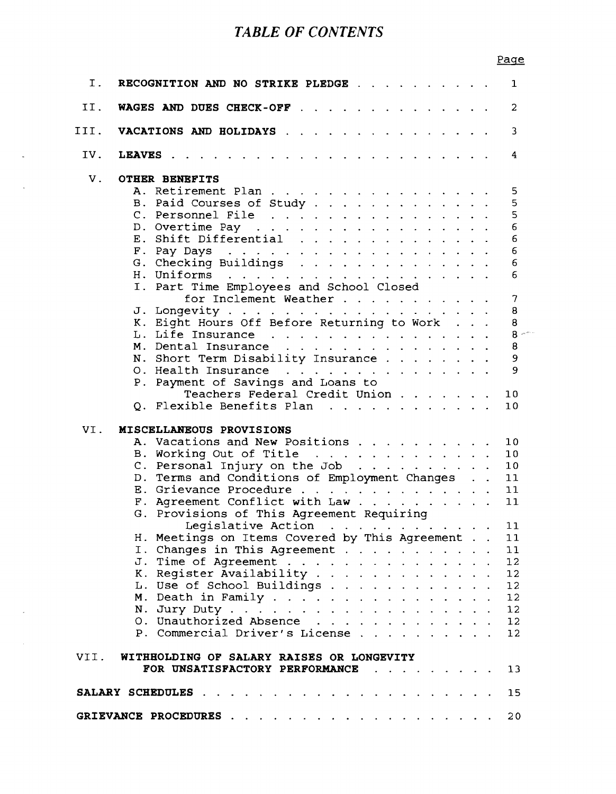# **TABLE OF CONTENTS**

 $\sim 10^{-10}$ 

 $\mathbb{Z}$ 

## Page

| Ι.          | RECOGNITION AND NO STRIKE PLEDGE                                      | 1              |
|-------------|-----------------------------------------------------------------------|----------------|
| TT.         | WAGES AND DUES CHECK-OFF                                              | 2              |
|             | III. VACATIONS AND HOLIDAYS                                           | 3              |
| IV.         | LEAVES .                                                              | 4              |
| $V_{\odot}$ | <b>OTHER BENEFITS</b>                                                 |                |
|             | A. Retirement Plan                                                    | 5              |
|             | B. Paid Courses of Study                                              | 5              |
|             | C. Personnel File $\ldots$                                            | $\overline{5}$ |
|             | D. Overtime Pay $\ldots$ $\ldots$ $\ldots$ $\ldots$ $\ldots$ $\ldots$ | 6              |
|             | E. Shift Differential                                                 | 6              |
|             |                                                                       | 6              |
|             | G. Checking Buildings                                                 | 6              |
|             |                                                                       |                |
|             | I. Part Time Employees and School Closed                              |                |
|             | for Inclement Weather                                                 | $\overline{7}$ |
|             |                                                                       | 8              |
|             |                                                                       |                |
|             | K. Eight Hours Off Before Returning to Work                           | 8              |
|             | L. Life Insurance                                                     | $8 -$          |
|             | M. Dental Insurance                                                   | 8              |
|             | N. Short Term Disability Insurance                                    | 9              |
|             | O. Health Insurance                                                   | 9              |
|             | P. Payment of Savings and Loans to                                    |                |
|             | Teachers Federal Credit Union                                         | 10             |
|             | Q. Flexible Benefits Plan                                             | 10             |
| VI.         | MISCELLANEOUS PROVISIONS                                              |                |
|             | A. Vacations and New Positions                                        | 10             |
|             |                                                                       | 10             |
|             | B. Working Out of Title                                               |                |
|             | C. Personal Injury on the Job $\ldots$                                | 10             |
|             | D. Terms and Conditions of Employment Changes                         | 11             |
|             | E. Grievance Procedure                                                | 11             |
|             | F. Agreement Conflict with Law                                        | 11             |
|             | G. Provisions of This Agreement Requiring                             |                |
|             | Legislative Action                                                    | 11             |
|             | H. Meetings on Items Covered by This Agreement                        | 11             |
|             | I. Changes in This Agreement                                          | 11             |
|             | J. Time of Agreement                                                  | 12             |
|             | K. Register Availability                                              | 12             |
|             | L. Use of School Buildings                                            | 12             |
|             |                                                                       | 12             |
|             | M. Death in Family                                                    |                |
|             |                                                                       | 12             |
|             | O. Unauthorized Absence                                               | 12             |
|             | P. Commercial Driver's License                                        | 12             |
|             | VII. WITHHOLDING OF SALARY RAISES OR LONGEVITY                        |                |
|             |                                                                       |                |
|             | FOR UNSATISFACTORY PERFORMANCE                                        | 13             |
|             |                                                                       | 15             |
|             |                                                                       | 20             |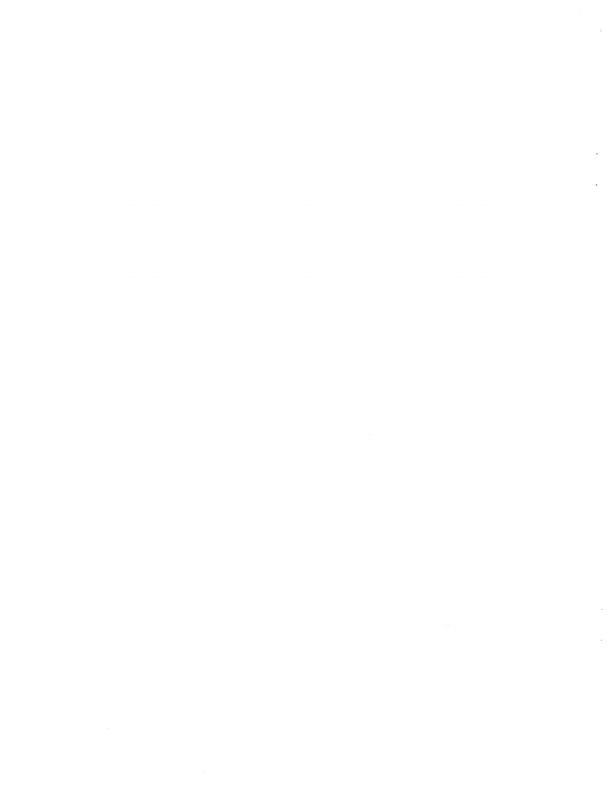$T_{\rm{eff}}$  $\omega_{\rm{eff}}$  $\mathcal{L}^{\pm}$  $\hat{\mathcal{L}}$  $\mathcal{L}_{\mathcal{A}}$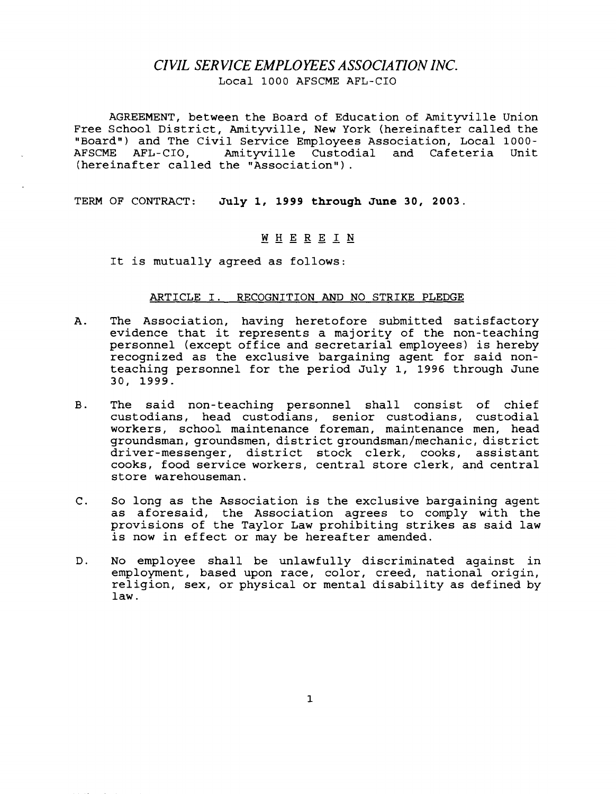## *CIVIL SERVICE EMPLOYEES ASSOCIATION INC.*  Local 1000 AFSCME AFL-CIO

AGREEMENT, between the Board of Education of Amityville Union Free School District, Amityville, New York (hereinafter called the "Board") and The Civil Service Employees Association, Local 1000-<br>AFSCME AFL-CIO. Amityville Custodial and Cafeteria Unit Amityville Custodial (hereinafter called the "Association").

TERM OF CONTRACT: **July 1, 1999 through June 30, 2003.** 

#### WHEREIN

It is mutually agreed as follows:

#### ARTICLE I. RECOGNITION AND NO STRIKE PLEDGE

- $A.$ The Association, having heretofore submitted satisfactory evidence that it represents a majority of the non-teaching personnel (except office and secretarial employees) is hereby recognized as the exclusive bargaining agent for said nonteaching personnel for the period July 1, 1996 through June 30, 1999.
- $B.$ The said non-teaching personnel shall consist of chief custodians, head custodians, senior custodians, custodial workers, school maintenance foreman, maintenance men, head groundsman, groundsmen, **districtgroundsman/mechanic,** district driver-messenger, district stock clerk, cooks, assistant cooks, food service workers, central store clerk, and central store warehouseman.
- So long as the Association is the exclusive bargaining agent  $C_{\star}$ as aforesaid, the Association agrees to comply with the provisions of the Taylor Law prohibiting strikes as said law is now in effect or may be hereafter amended.
- D. No employee shall be unlawfully discriminated against in employment, based upon race, color, creed, national origin, religion, sex, or physical or mental disability as defined by law.

 $\mathbf{1}$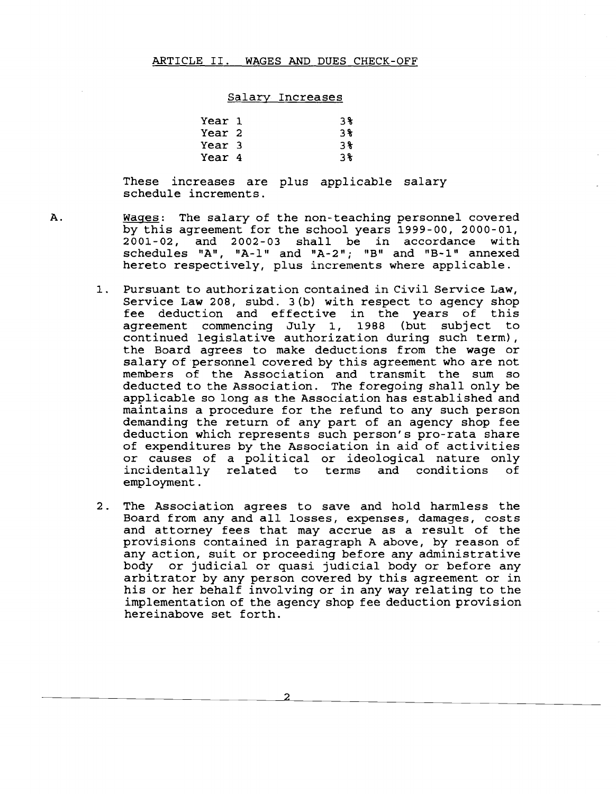#### Salary Increases

| Year 1 | 38 |
|--------|----|
| Year 2 | 38 |
| Year 3 | 38 |
| Year 4 | 38 |

These increases are plus applicable salary schedule increments.

- A. Mages: The salary of the non-teaching personnel covered by this agreement for the school years 1999-00, 2000-01, 2001-02, and 2002-03 shall be in accordance with schedules "A", "A-1" and "A-2"; "B" and "B-1" annexed hereto respectively, plus increments where applicable.
	- 1. Pursuant to authorization contained in Civil Service Law, Service Law 208, subd. 3(b) with respect to agency shop fee deduction and effective in the years of this agreement commencing July 1, 1988 (but subject to continued legislative authorization during such term), the Board agrees to make deductions from the wage or salary of personnel covered by this agreement who are not members of the Association and transmit the sum so deducted to the Association. The foregoing shall only be applicable so long as the Association has established and maintains a procedure for the refund to any such person demanding the return of any part of an agency shop fee deduction which represents such person's pro-rata share of expenditures by the Association in aid of activities or causes of a political or ideological nature only incidentally related to terms and conditions of employment.
	- 2. The Association agrees to save and hold harmless the Board from any and all losses, expenses, damages, costs and attorney fees that may accrue as a result of the provisions contained in paragraph A above, by reason of any action, suit or proceeding before any administrative body or judicial or quasi judicial body or before any arbitrator by any person covered by this agreement or in his or her behalf involving or in any way relating to the implementation of the agency shop fee deduction provision hereinabove set forth.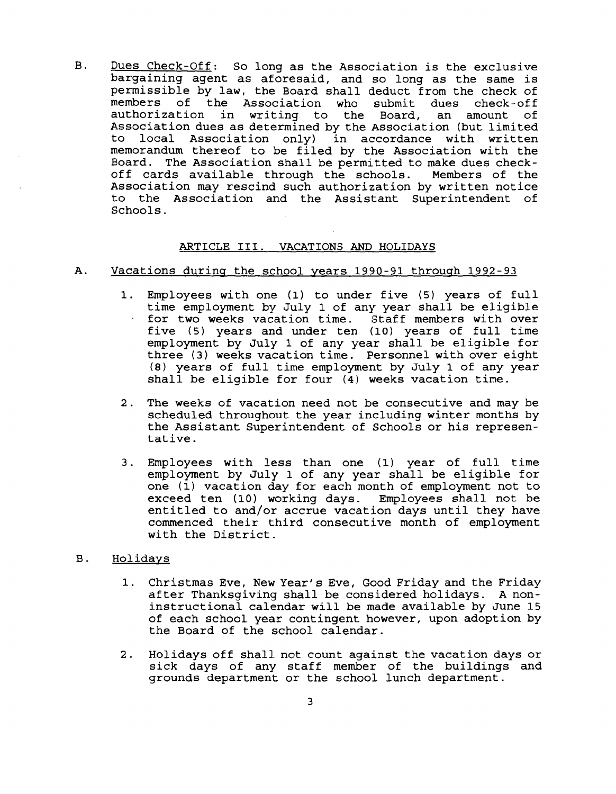B. Dues Check-Off: So long as the Association is the exclusive bargaining agent as aforesaid, and so long as the same is permissible by law, the Board shall deduct from the check of members of the Association who submit dues check-off authorization in writing to the Board, an amount of Association dues as determined by the Association (but limited<br>to local Association only) in accordance with written  $1$ ocal Association only) in accordance with written memorandum thereof to be filed by the Association with the Board. The Association shall be permitted to make dues checkoff cards available through the schools. Members of the Association may rescind such authorization by written notice to the Association and the Assistant Superintendent of Schools.

#### ARTICLE 111. VACATIONS AND HOLIDAYS

#### A. Vacations during the school years 1990-91 through 1992-93

- 1. Employees with one (1) to under five (5) years of full time employment by July 1 of any year shall be eligible for two weeks vacation time. Staff members with over five **(5)** years and under ten (10) years of full time employment by July 1 of any year shall be eligible for three (3) weeks vacation time. Personnel with over eight **(8)** years of full time employment by July 1 of any year shall be eligible for four **(4)** weeks vacation time.
- 2. The weeks of vacation need not be consecutive and may be scheduled throughout the year including winter months by the Assistant Superintendent of Schools or his representative.
- 3. Employees with less than one (1) year of full time employment by July 1 of any year shall be eligible for one (1) vacation day for each month of employment not to exceed ten (10) working days. Employees shall not be entitled to and/or accrue vacation days until they have commenced their third consecutive month of employment with the District.

#### B. Holidavs

- 1. Christmas Eve, New Year's Eve, Good Friday and the Friday after Thanksgiving shall be considered holidays. A noninstructional calendar will be made available by June 15 of each school year contingent however, upon adoption by the Board of the school calendar.
- 2. Holidays off shall not count against the vacation days or sick days of any staff member of the buildings and grounds department or the school lunch department.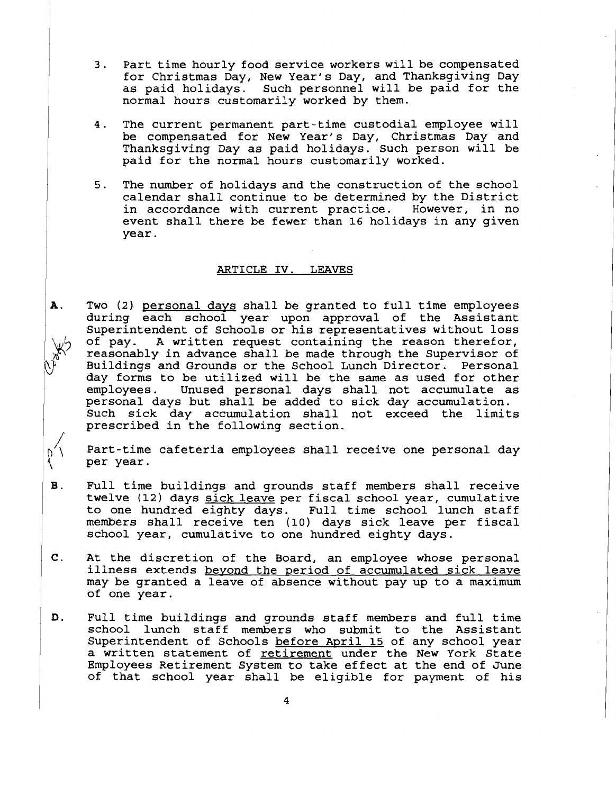- $3.$ Part time hourly food service workers will be compensated for Christmas Day, New Year's Day, and Thanksgiving Day as paid holidays. Such personnel will be paid for the normal hours customarily worked by them.
- The current permanent part-time custodial employee will 4. be compensated for New Year's Day, Christmas Day and Thanksgiving Day as paid holidays. Such person will be paid for the normal hours customarily worked.
- The number of holidays and the construction of the school 5. calendar shall continue to be determined by the District in accordance with current practice. However, in no event shall there be fewer than 16 holidays in any given year.

#### ARTICLE IV. LEAVES

Two (2) personal days shall be granted to full time employees Α. during each school year upon approval of the Assistant Superintendent of Schools or his representatives without loss of pay. A written request containing the reason therefor, A written request containing the reason therefor, reasonably in advance shall be made through the Supervisor of Buildings and Grounds or the School Lunch Director. Personal day forms to be utilized will be the same as used for other<br>employees. Unused personal days shall not accumulate as Unused personal days shall not accumulate as personal days but shall be added to sick day accumulation. Such sick day accumulation shall not exceed the limits prescribed in the following section.

Part-time cafeteria employees shall receive one personal day per year.

- $B<sub>1</sub>$ Full time buildings and grounds staff members shall receive twelve **(12)** days sick leave per fiscal school year, cumulative to one hundred eighty days. Full time school lunch staff members shall receive ten (10) days sick leave per fiscal school year, cumulative to one hundred eighty days.
- $\mathbf{C}$ . At the discretion of the Board, an employee whose personal illness extends beyond the period of accumulated sick leave may be granted a leave of absence without pay up to a maximum of one year.
- D. Full time buildings and grounds staff members and full time school lunch staff members who submit to the Assistant Superintendent of Schools before April 15 of any school year a written statement of retirement under the New York State Employees Retirement System to take effect at the end of June of that school year shall be eligible for payment of his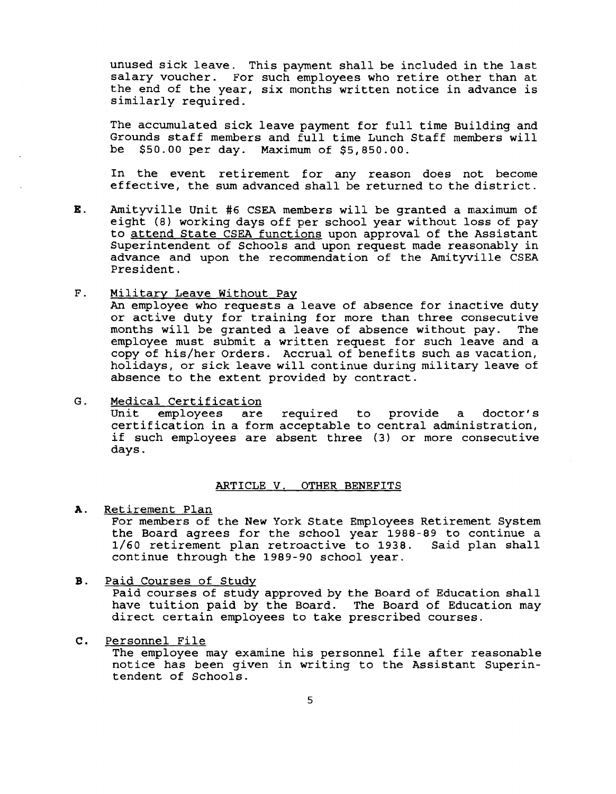unused sick leave. This payment shall be included in the last salary voucher. For such employees who retire other than at the end of the year, six months written notice in advance is similarly required.

The accumulated sick leave payment for full time Building and Grounds staff members and full time Lunch Staff members will<br>be \$50.00 per day. Maximum of \$5.850.00. \$50.00 per day. Maximum of \$5,850.00.

In the event retirement for any reason does not become effective, the sum advanced shall be returned to the district.

- E. Arnityville Unit **#6** CSEA members will be granted a maximum of eight (8) working days off per school year without loss of pay to attend State CSEA functions upon approval of the Assistant Superintendent of Schools and upon request made reasonably in advance and upon the recommendation of the Amityville CSEA President.
- F. Military Leave Without Pay

**An** employee who requests a leave of absence for inactive duty or active duty for training for more than three consecutive<br>months will be granted a leave of absence without pay. The months will be granted a leave of absence without pay. employee must submit a written request for such leave and a copy of his/her Orders. Accrual of benefits such as vacation, holidays, or sick leave will continue during military leave of absence to the extent provided by contract.

G. Medical Certification<br>Unit employees are required to provide a doctor's certification in a form acceptable to central administration, if such employees are absent three **(3)** or more consecutive days.

#### ARTICLE V. OTHER BENEFITS

- **A.** Retirement Plan For members of the New York State Employees Retirement System the Board agrees for the school year 1988-89 to continue a 1/60 retirement plan retroactive to 1938. Said plan shall  $1/60$  retirement plan retroactive to 1938. continue through the 1989-90 school year.
- **B.** Paid Courses of Study Paid courses of study approved by the Board of Education shall have tuition paid by the Board. The Board of Education may direct certain employees to take prescribed courses.
- C. Personnel File

The employee may examine his personnel file after reasonable notice has been given in writing to the Assistant Superintendent of Schools.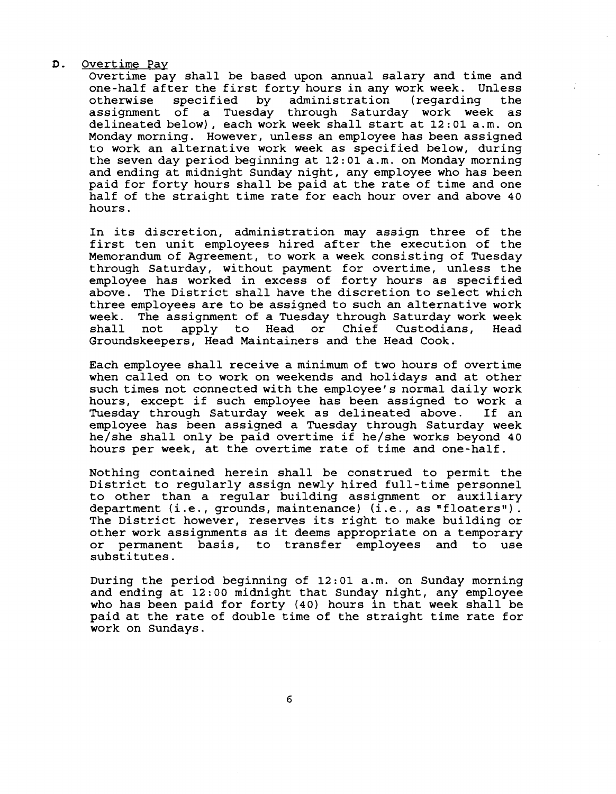#### D. Overtime Pav

Overtime pay shall be based upon annual salary and time and one-half after the first forty hours in any work week. Unless<br>otherwise specified by administration (regarding the specified by administration (regarding assignment of a Tuesday through Saturday work week as delineated below) , each work week shall start at **12** : **01** a.m. on Monday morning. However, unless an employee has been assigned to work an alternative work week as specified below, during the seven day period beginning at **12** : **01** a .m. on Monday morning and ending at midnight Sunday night, any employee who has been paid for forty hours shall be paid at the rate of time and one half of the straight time rate for each hour over and above **40**  hours.

In its discretion, administration may assign three of the first ten unit employees hired after the execution of the Memorandum of Agreement, to work a week consisting of Tuesday through Saturday, without payment for overtime, unless the employee has worked in excess of forty hours as specified above. The District shall have the discretion to select which three employees are to be assigned to such an alternative work<br>week. The assignment of a Tuesday through Saturday work week week. The assignment of a Tuesday through Saturday work week<br>shall not apply to Head or Chief Custodians, Head apply to Head or Chief Custodians, Groundskeepers, Head Maintainers and the Head Cook.

Each employee shall receive a minimum of two hours of overtime when called on to work on weekends and holidays and at other such times not connected with the employee's normal daily work hours, except if such employee has been assigned to work a Tuesday through Saturday week as delineated above. employee has been assigned a Tuesday through Saturday week he/she shall only be paid overtime if he/she works beyond **40**  hours per week, at the overtime rate of time and one-half.

Nothing contained herein shall be construed to permit the District to regularly assign newly hired full-time personnel to other than a regular building assignment or auxiliary department (i.e., grounds, maintenance) (i.e., as "floaters").<br>The District however, reserves its right to make building or other work assignments as it deems appropriate on a temporary or permanent basis, to transfer employees and to use substitutes.

During the period beginning of **12** : **01** a.m. on Sunday morning and ending at **12:00** midnight that Sunday night, any employee who has been paid for forty **(40)** hours in that week shall be paid at the rate of double time of the straight time rate for work on Sundays.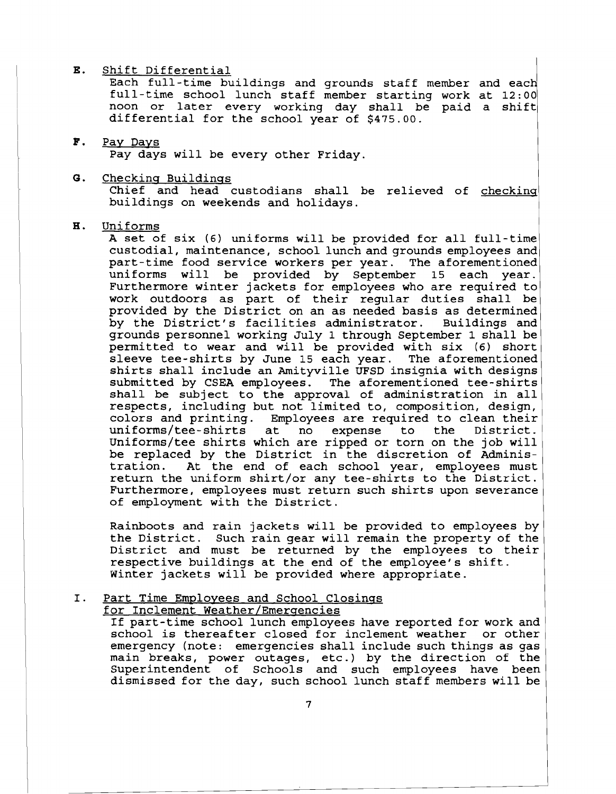#### **E.** Shift Differential

Each full-time buildings and grounds staff member and each full-time school lunch staff member starting work at 12:00 noon or later every working day shall be paid a shift differential for the school year of **\$475.00.**  h<br>0<br>t<br>|

#### F. Pay Days Pay days will be every other Friday.

G. Checkinq Buildinqs Chief and head custodians shall be relieved of checkinq buildings on weekends and holidays.

#### **B.** Uniforms

A set of six (6) uniforms will be provided for all full-time custodial, maintenance, school lunch and grounds employees and part-time food service workers per year. The aforementioned uniforms will be provided by September **15** each year. Furthermore winter jackets for employees who are required to work outdoors as part of their regular duties shall be provided by the District on an as needed basis as determined by the District's facilities administrator. Buildings and grounds personnel working July **1** through September **1** shall be permitted to wear and will be provided with six **(6)** short sleeve tee-shirts by June **15** each year. The aforementioned shirts shall include an Amityville UFSD insignia with designs submitted by CSEA employees. The aforementioned tee-shirts shall be subject to the approval of administration in all respects, including but not limited to, composition, design, colors and printing. Employees are required to clean their uniforms/tee-shirts Uniforms/tee shirts which are ripped or torn on the job will be replaced by the District in the discretion of Administration. At the end of each school year, employees must return the uniform shirt/or any tee-shirts to the District. Furthermore, employees must return such shirts upon severance of employment with the District.

Rainboots and rain jackets will be provided to employees by the District. Such rain gear will remain the property of the District and must be returned by the employees to their respective buildings at the end of the employee's shift. Winter jackets will be provided where appropriate.

#### I. Part Time Employees and School Closinqs

for Inclement Weather/Emergencies

If part-time school lunch employees have reported for work and school is thereafter closed for inclement weather or other emergency (note: emergencies shall include such things as gas main breaks, power outages, etc. ) by the direction of the Superintendent of Schools and such employees have been dismissed for the day, such school lunch staff members will be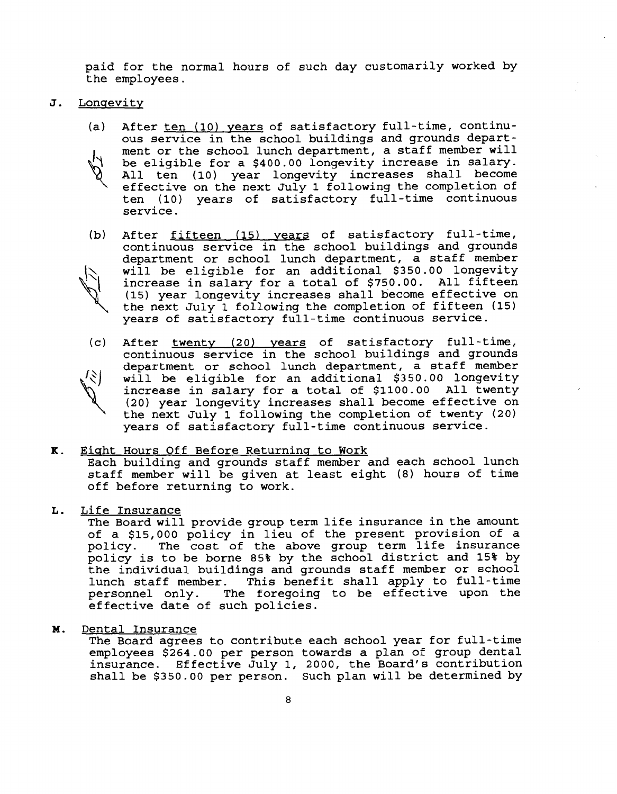paid for the normal hours of such day customarily worked by the employees.

- Lonqevity  $J_{\star}$ 
	- After ten **(10)** vears of satisfactory full-time, continu- $(a)$ ous service in the school buildings and grounds department or the school lunch department, a staff member will be eligible for a **\$400.00** longevity increase in salary. All ten **(10)** year longevity increases shall become effective on the next July **1** following the completion of ten **(10)** years of satisfactory full-time continuous service.
	- $(b)$ After fifteen **(15)** years of satisfactory full-time, continuous service in the school buildings and grounds department or school lunch department, a staff member will be eligible for an additional **\$350.00** longevity increase in salary for a total of **\$750.00.** All fifteen **(15)** year longevity increases shall become effective on the next July **1** following the completion of fifteen **(15)**  years of satisfactory full-time continuous service.
	- After twenty **(20)** vears of satisfactory full-time,  $(c)$ continuous service in the school buildings and grounds department or school lunch department, a staff member 131 will be eligible for an additional **\$350.00** longevity increase in salary for a total of **\$1100.00** All twenty **(20)** year longevity increases shall become effective on the next July **1** following the completion of twenty **(20)**  years of satisfactory full-time continuous service.

#### Eight Hours Off Before Returning to Work  $\mathbf{K}$ . Each building and grounds staff member and each school lunch staff member will be given at least eight **(8)** hours of time off before returning to work.

Life Insurance L.

The Board will provide group term life insurance in the amount of a **\$15,000** policy in lieu of the present provision of a policy. The cost of the above group term life insurance policy is to be borne **85%** by the school district and **15%** by the individual buildings and grounds staff member or school lunch staff member. This benefit shall apply to full-time personnel only. The foregoing to be effective upon the effective date of such policies.

Dental Insurance М.

> The Board agrees to contribute each school year for full-time employees **\$264.00** per person towards a plan of group dental insurance. Effective July **1, 2000,** the Board's contribution shall be **\$350.00** per person. Such plan will be determined by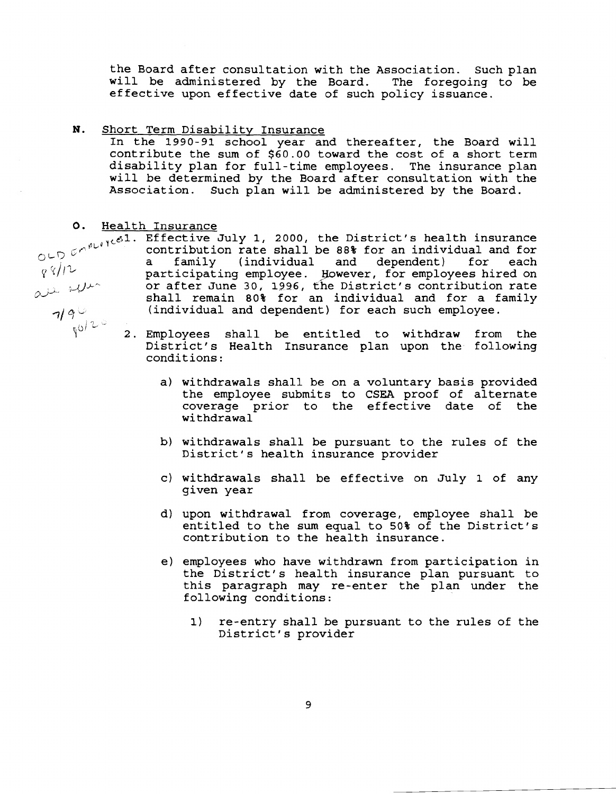the Board after consultation with the Association. Such plan will be administered by the Board. The foregoing to be effective upon effective date of such policy issuance.

#### N. Short Term Disability Insurance

In the 1990-91 school year and thereafter, the Board will contribute the sum of \$60.00 toward the cost of a short term disability plan for full-time employees. The insurance plan will be determined by the Board after consultation with the Association. Such plan will be administered by the Board.

**0.** Health Insurance

**fr<sup>PLP</sup>IC**<sup>s1</sup>. Effective July 1, 2000, the District's health insurance<br>contribution rate shall be 88% for an individual and for<br>a family (individual and dependent) for each y ti/% participating employee. Yowever, for employees hired on or after June 30, 1<u>99</u>6, the District's contribution rate shall remain 80% for an individual and for a family  $\omega$ (individual and dependent) for each such employee.

- 2. Employees shall be entitled to withdraw from the District's Health Insurance plan upon the following conditions:
	- a) withdrawals shall be on a voluntary basis provided the employee submits to CSEA proof of alternate coverage prior to the effective date of the withdrawal
	- b) withdrawals shall be pursuant to the rules of the District's health insurance provider
	- c) withdrawals shall be effective on July 1 of any given year
	- d) upon withdrawal from coverage, employee shall be entitled to the sum equal to 50% of the District's contribution to the health insurance.
	- e) employees who have withdrawn from participation in the District's health insurance plan pursuant to this paragraph may re-enter the plan under the following conditions:
		- **1)** re-entry shall be pursuant to the rules of the District's provider

9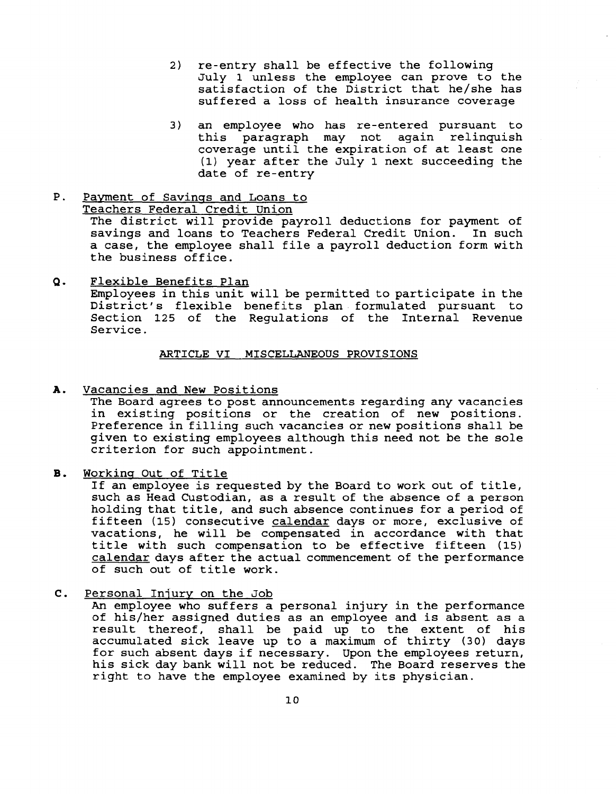- **2)** re-entry shall be effective the following July 1 unless the employee can prove to the satisfaction of the District that he/she has suffered a loss of health insurance coverage
- **3)** an employee who has re-entered pursuant to this paragraph may not again relinquish coverage until the expiration of at least one **(1)** year after the July **1** next succeeding the date of re-entry
- P. Payment of Savings and Loans to Teachers Federal Credit Union The district will provide payroll deductions for payment of savings and loans to Teachers Federal Credit Union. In such a case, the employee shall file a payroll deduction form with the business office.
- **Q.** Flexible Benefits Plan

Employees in this unit will be permitted to participate in the District's flexible benefits plan. formulated pursuant to Section **125** of the Regulations of the Internal Revenue Service.

#### ARTICLE VI MISCELLANEOUS PROVISIONS

A. Vacancies and New Positions

The Board agrees to post announcements regarding any vacancies in existing positions or the creation of new positions. Preference in filling such vacancies or new positions shall be given to existing employees although this need not be the sole criterion for such appointment.

B. Working Out of Title

If an employee is requested by the Board to work out of title, such as Head Custodian, as a result of the absence of a person holding that title, and such absence continues for a period of fifteen **(15)** consecutive calendar days or more, exclusive of vacations, he will be compensated in accordance with that title with such compensation to be effective fifteen **(15)**  calendar days after the actual commencement of the performance of such out of title work.

 $\mathbf{C}$ . Personal Injury on the Job

> **An** employee who suffers a personal injury in the performance of his/her assigned duties as an employee and is absent as a result thereof, shall be paid up to the extent of his accumulated sick leave up to a maximum of thirty **(30)** days for such absent days if necessary. Upon the employees return, his sick day bank will not be reduced. The Board reserves the right to have the employee examined by its physician.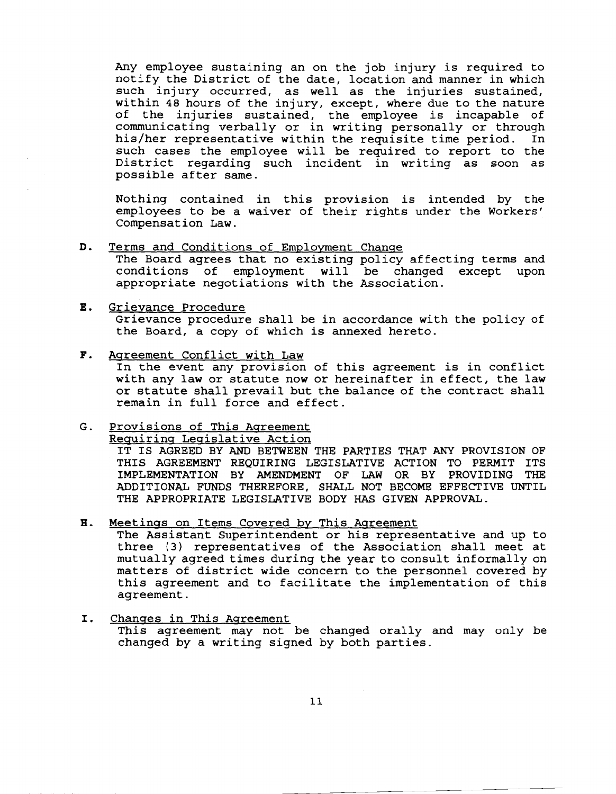Any employee sustaining an on the job injury is required to notify the District of the date, location and manner in which such injury occurred, as well as the injuries sustained, within 48 hours of the injury, except, where due to the nature of the injuries sustained, the employee is incapable of communicating verbally or in writing personally or through his/her representative within the requisite time period. such cases the employee will be required to report to the District regarding such incident in writing as soon as possible after same.

Nothing contained in this provision is intended by the employees to be a waiver of their rights under the Workers' Compensation Law.

D. Terms and Conditions of Employment Change

The Board agrees that no existing policy affecting terms and conditions of employment will be changed except upon appropriate negotiations with the Association.

- E. Grievance Procedure Grievance procedure shall be in accordance with the policy of the Board, a copy of which is annexed hereto.
- F. Agreement Conflict with Law

In the event any provision of this agreement is in conflict with any law or statute now or hereinafter in effect, the law or statute shall prevail but the balance of the contract shall remain in full force and effect.

G. Provisions of This Agreement

Requiring Legislative Action

IT IS AGREED BY AND BETWEEN THE PARTIES THAT ANY PROVISION OF THIS AGREEMENT REQUIRING LEGISLATIVE ACTION TO PERMIT ITS IMPLEMENTATION BY AMENDMENT OF LAW OR BY PROVIDING THE ADDITIONAL FUNDS THEREFORE, SHALL NOT BECOME EFFECTIVE UNTIL THE APPROPRIATE LEGISLATIVE BODY HAS GIVEN APPROVAL.

#### **H.** Meetings on Items Covered by This Agreement

The Assistant Superintendent or his representative and up to three **(3)** representatives of the Association shall meet at mutually agreed times during the year to consult informally on matters of district wide concern to the personnel covered by this agreement and to facilitate the implementation of this agreement.

I. Changes in This Agreement This agreement may not be changed orally and may only be changed by a writing signed by both parties.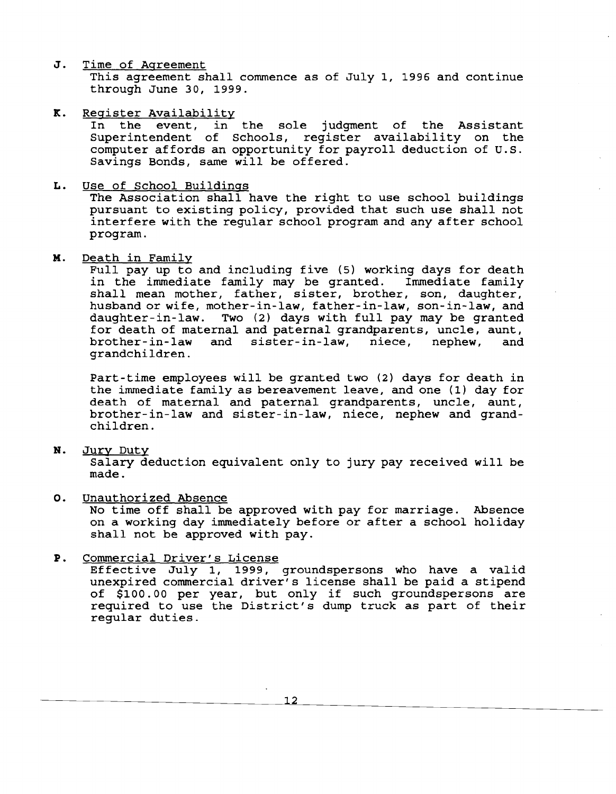- $\mathbf{J}$ . Time of Aqreement This agreement shall commence as of July 1, 1996 and continue through June 30, 1999.
- $\mathbf{K}$ . Register Availability

In the event, in the sole judgment of the Assistant Superintendent of Schools, register availability on the computer affords an opportunity for payroll deduction of U.S. Savings Bonds, same will be offered.

#### L. Use of School Buildinqs

The Association shall have the right to use school buildings pursuant to existing policy, provided that such use shall not interfere with the regular school program and any after school program.

#### M. Death in Family

Full pay up to and including five **(5)** working days for death in the immediate family may be granted. shall mean mother, father, sister, brother, son, daughter, husband or wife, mother-in-law, father-in-law, son-in-law, and daughter-in-law. Two **(2)** days with full pay may be granted for death of maternal and paternal grandparents, uncle, aunt,<br>brother-in-law and sister-in-law, niece, nephew, and and sister-in-law, niece, nephew, grandchildren.

Part-time employees will be granted two **(2)** days for death in the immediate family as bereavement leave, and one ( 1) day for death of maternal and paternal grandparents, uncle, aunt, brother-in-law and sister-in-law, niece, nephew and grandchildren.

N. Jurv Duty

Salary deduction equivalent only to jury pay received will be made.

0. Unauthorized Absence

> No time off shall be approved with pay for marriage. Absence on a working day immediately before or after a school holiday shall not be approved with pay.

**P.** Commercial Driver's License

Effective July 1, 1999, groundspersons who have a valid unexpired commercial driver's license shall be paid a stipend of \$100.00 per year, but only if such groundspersons are required to use the District's dump truck as part of their regular duties.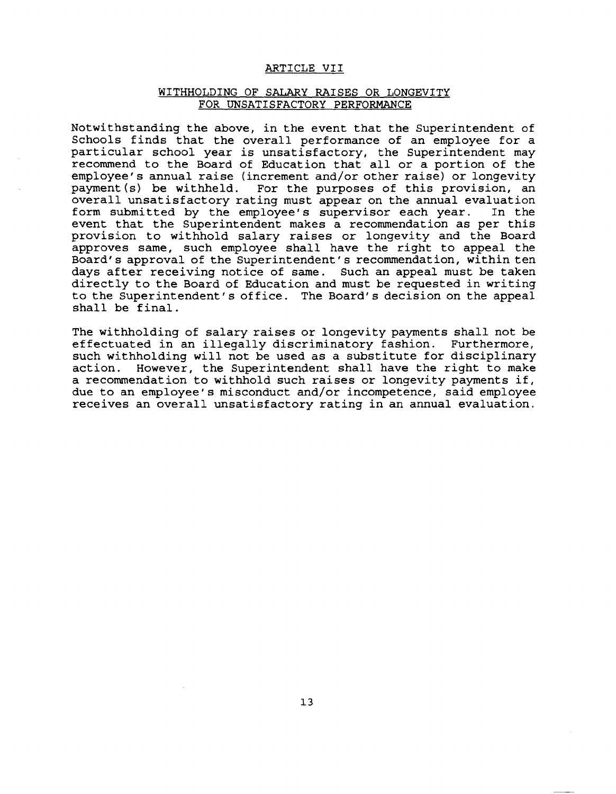#### ARTICLE VII

#### WITHHOLDING OF SALARY RAISES OR LONGEVITY FOR UNSATISFACTORY PERFORMANCE

Notwithstanding the above, in the event that the Superintendent of Schools finds that the overall performance of an employee for a particular school year is unsatisfactory, the Superintendent may recommend to the Board of Education that all or a portion of the employee' s annual raise (increment and/or other raise) or longevity payment(s) be withheld. For the purposes of this provision, an overall unsatisfactory rating must appear on the annual evaluation<br>form submitted by the emplovee's supervisor each year. In the form submitted by the employee's supervisor each year. event that the Superintendent makes a recommendation as per this provision to withhold salary raises or longevity and the Board approves same, such employee shall have the right to appeal the Board's approval of the Superintendent's recommendation, within ten days after receiving notice of same. Such an appeal must be taken directly to the Board of Education and must be requested in writing to the Superintendent's office. The Board's decision on the appeal shall be final.

The withholding of salary raises or longevity payments shall not be effectuated in an illegally discriminatory fashion. Furthermore, such withholding will not be used as a substitute for disciplinary action. However, the Superintendent shall have the right to make a recommendation to withhold such raises or longevity payments if, due to an employee's misconduct and/or incompetence, said employee receives an overall unsatisfactory rating in an annual evaluation.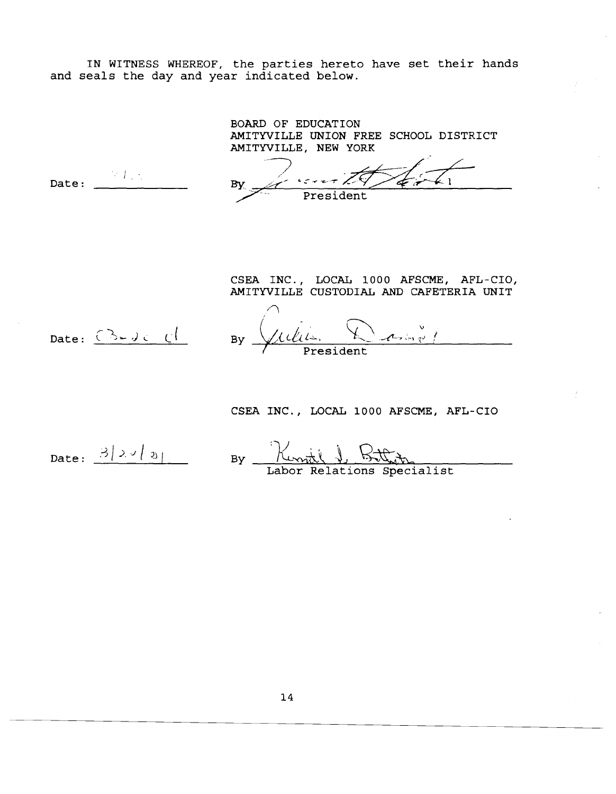IN WITNESS WHEREOF, the parties hereto have set their hands and seals the day and year indicated below.

BOARD OF EDUCATION AMITYVILLE UNION FREE SCHOOL DISTRICT AMITYVILLE, NEW YORK By example President Date:  $\frac{1}{2}$ 

> CSEA INC., LOCAL 1000 AFSCME, AFL-CIO, AMITYVILLE CUSTODIAL AND CAFETERIA UNIT

By Julie Daniel

CSEA INC., LOCAL 1000 AFSCME, AFL-CIO

Date:  $3-3c$ 

Date:  $\frac{3|20|3|}{8}$  By  $\frac{R_{x,y,z}(1)}{2}$  By Lever Relations Specialist

14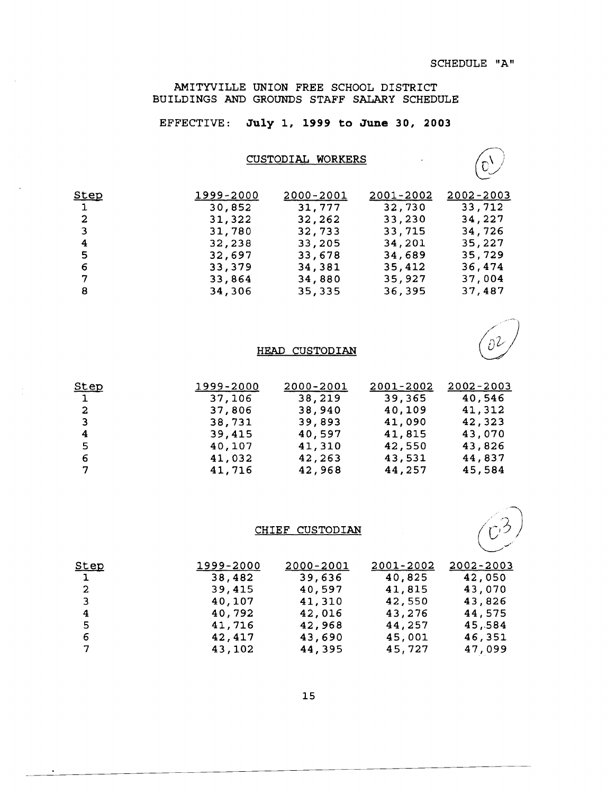**EFFECTIVE: July 1, 1999 to June 30, 2003** 

**CUSTODIAL WORKERS** (c>,j

| <b>Step</b>    | 1999-2000 | 2000-2001 | 2001-2002 | $2002 - 2003$ |
|----------------|-----------|-----------|-----------|---------------|
|                | 30,852    | 31,777    | 32,730    | 33,712        |
| $\overline{2}$ | 31,322    | 32,262    | 33,230    | 34,227        |
|                | 31,780    | 32,733    | 33,715    | 34,726        |
| 4              | 32,238    | 33,205    | 34,201    | 35,227        |
| 5              | 32,697    | 33,678    | 34,689    | 35,729        |
| 6              | 33,379    | 34,381    | 35,412    | 36,474        |
|                | 33,864    | 34,880    | 35,927    | 37,004        |
| 8              | 34,306    | 35,335    | 36,395    | 37,487        |

#### **HEAD CUSTODIAN**

| <b>Step</b>  | 1999-2000 | 2000-2001 | $2001 - 2002$ | $2002 - 2003$ |
|--------------|-----------|-----------|---------------|---------------|
|              | 37,106    | 38,219    | 39,365        | 40,546        |
| $\mathbf{2}$ | 37,806    | 38,940    | 40,109        | 41,312        |
| 3            | 38,731    | 39,893    | 41,090        | 42,323        |
| 4            | 39,415    | 40,597    | 41,815        | 43,070        |
| 5            | 40,107    | 41,310    | 42,550        | 43,826        |
| 6            | 41,032    | 42,263    | 43,531        | 44,837        |
|              | 41,716    | 42,968    | 44,257        | 45,584        |

#### **CHIEF CUSTODIAN**

| <u>Step</u>  | 1999-2000 | $2000 - 2001$ | 2001-2002 | 2002-2003 |
|--------------|-----------|---------------|-----------|-----------|
| $\mathbf{1}$ | 38,482    | 39,636        | 40,825    | 42,050    |
| -2           | 39,415    | 40,597        | 41,815    | 43,070    |
| 3            | 40,107    | 41,310        | 42,550    | 43,826    |
| 4            | 40,792    | 42,016        | 43,276    | 44,575    |
| 5.           | 41,716    | 42,968        | 44,257    | 45,584    |
| 6            | 42,417    | 43,690        | 45,001    | 46,351    |
| 7            | 43,102    | 44,395        | 45,727    | 47,099    |

 $\ddot{\phantom{1}}$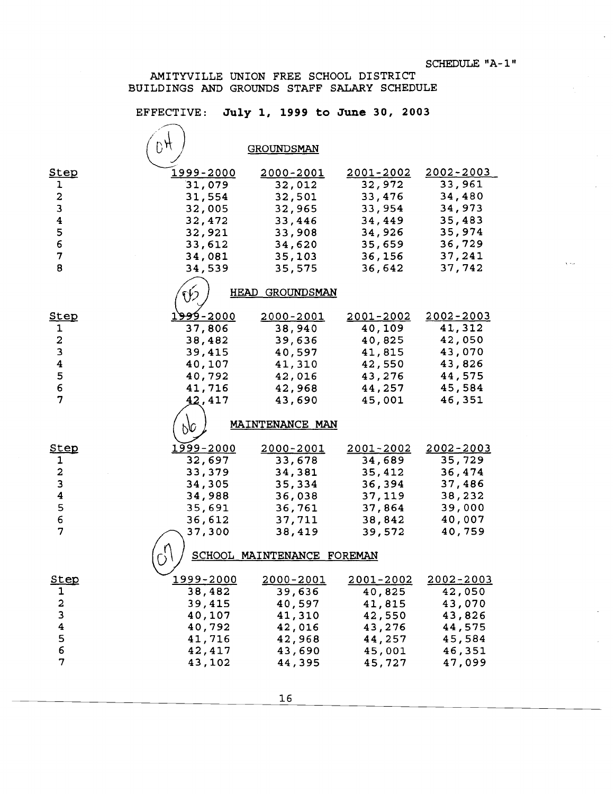EFFECTIVE: July **1, 1999 to June 30, 2003** 

|                         |                     | <b>GROUNDSMAN</b>          |               |               |
|-------------------------|---------------------|----------------------------|---------------|---------------|
| <u>Step</u>             | <u> 1999-2000</u>   | 2000-2001                  | 2001-2002     | $2002 - 2003$ |
| 1                       | 31,079              | 32,012                     | 32,972        | 33,961        |
| $\overline{\mathbf{c}}$ | 31,554              | 32,501                     | 33,476        | 34,480        |
| $\overline{\mathbf{3}}$ | 32,005              | 32,965                     | 33,954        | 34,973        |
| $\overline{\mathbf{4}}$ | 32,472              | 33,446                     | 34,449        | 35,483        |
| 5                       | 32,921              | 33,908                     | 34,926        | 35,974        |
| 6                       | 33,612              | 34,620                     | 35,659        | 36,729        |
| $\overline{7}$          | 34,081              | 35,103                     | 36, 156       | 37,241        |
| 8                       | 34,539              | 35,575                     | 36,642        | 37,742        |
|                         |                     | <b>HEAD GROUNDSMAN</b>     |               |               |
| <u>Step</u>             | <del>999-2000</del> | 2000-2001                  | 2001-2002     | $2002 - 2003$ |
| 1                       | 37,806              | 38,940                     | 40,109        | 41,312        |
| $\mathbf 2$             | 38,482              | 39,636                     | 40,825        | 42,050        |
| $\overline{\mathbf{3}}$ | 39,415              | 40,597                     | 41,815        | 43,070        |
| $\boldsymbol{4}$        | 40,107              | 41,310                     | 42,550        | 43,826        |
| 5                       | 40,792              | 42,016                     | 43,276        | 44,575        |
| 6                       | 41,716              | 42,968                     | 44,257        | 45,584        |
| 7                       | 42,417              | 43,690                     | 45,001        | 46,351        |
|                         |                     | <b>MAINTENANCE MAN</b>     |               |               |
| <u>Step</u>             | 1999-2000           | 2000-2001                  | 2001-2002     | 2002-2003     |
| $\mathbf 1$             | 32,697              | 33,678                     | 34,689        | 35,729        |
| $\mathbf{2}$            | 33,379              | 34,381                     | 35,412        | 36,474        |
| $\overline{\mathbf{3}}$ | 34,305              | 35,334                     | 36,394        | 37,486        |
| $\overline{\mathbf{4}}$ | 34,988              | 36,038                     | 37,119        | 38,232        |
| 5                       | 35,691              | 36,761                     | 37,864        | 39,000        |
| 6                       | 36,612              | 37,711                     | 38,842        | 40,007        |
| 7                       | 37,300              | 38,419                     | 39,572        | 40,759        |
|                         |                     | SCHOOL MAINTENANCE FOREMAN |               |               |
| <b>Step</b>             | 1999-2000           | $2000 - 2001$              | $2001 - 2002$ | $2002 - 2003$ |
| 1                       | 38,482              | 39,636                     | 40,825        | 42,050        |
| 2                       | 39,415              | 40,597                     | 41,815        | 43,070        |
| 3                       | 40,107              | 41,310                     | 42,550        | 43,826        |
| $\overline{\mathbf{4}}$ | 40,792              | 42,016                     | 43,276        | 44,575        |
| 5                       | 41,716              | 42,968                     | 44,257        | 45,584        |
| 6                       | 42,417              | 43,690                     | 45,001        | 46,351        |
| 7                       | 43,102              | 44,395                     | 45,727        | 47,099        |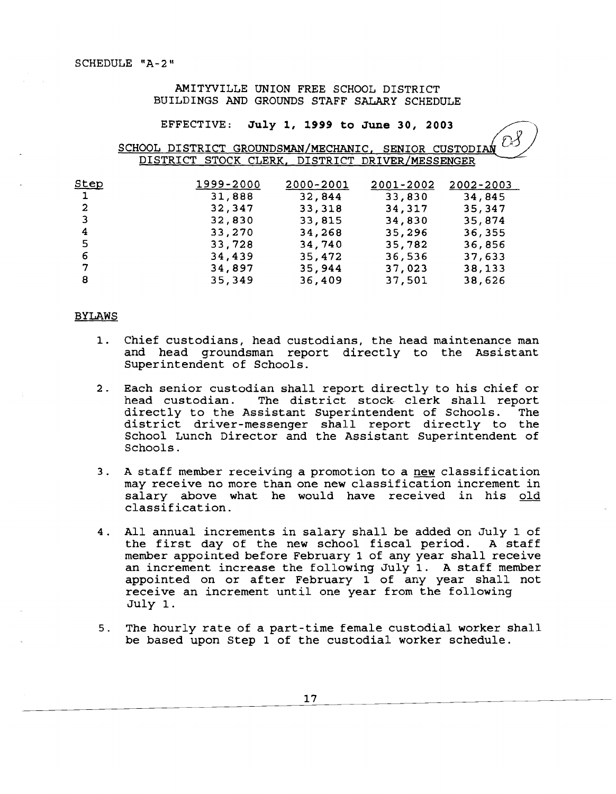EFFECTIVE: **July 1, 1999 to June 30, 2003** 

SCHOOL DISTRICT GROUNDSMAN/MECHANIC, SENIOR CUSTODIAN DISTRICT STOCK CLERK, DISTRICT DRIVER/MESSENGER

| <u>Step</u> | 1999-2000 | 2000-2001 | 2001-2002 | $2002 - 2003$ |
|-------------|-----------|-----------|-----------|---------------|
|             | 31,888    | 32,844    | 33,830    | 34,845        |
| 2           | 32,347    | 33,318    | 34,317    | 35,347        |
| 3           | 32,830    | 33,815    | 34,830    | 35,874        |
| 4           | 33,270    | 34,268    | 35,296    | 36,355        |
| 5           | 33,728    | 34,740    | 35,782    | 36,856        |
| 6           | 34,439    | 35,472    | 36,536    | 37,633        |
|             | 34,897    | 35,944    | 37,023    | 38,133        |
| 8           | 35,349    | 36,409    | 37,501    | 38,626        |

#### BYLAWS

- 1. Chief custodians, head custodians, the head maintenance man and head groundsman report directly to the Assistant Superintendent of Schools.
- 2. Each senior custodian shall report directly to his chief or head custodian. The district stock- clerk shall report directly to the Assistant Superintendent of Schools. The district driver-messenger shall report directly to the School Lunch Director and the Assistant Superintendent of Schools.
- **3.** A staff member receiving a promotion to a *new* classification may receive no more than one new classification increment in salary above what he would have received in his old classification.
- **4.** All annual increments in salary shall be added on July 1 of the first day of the new school fiscal period. A staff member appointed before February 1 of any year shall receive an increment increase the following July 1. A staff member appointed on or after February 1 of any year shall not receive an increment until one year from the following July 1.
- **5.** The hourly rate of a part-time female custodial worker shall be based upon Step 1 of the custodial worker schedule.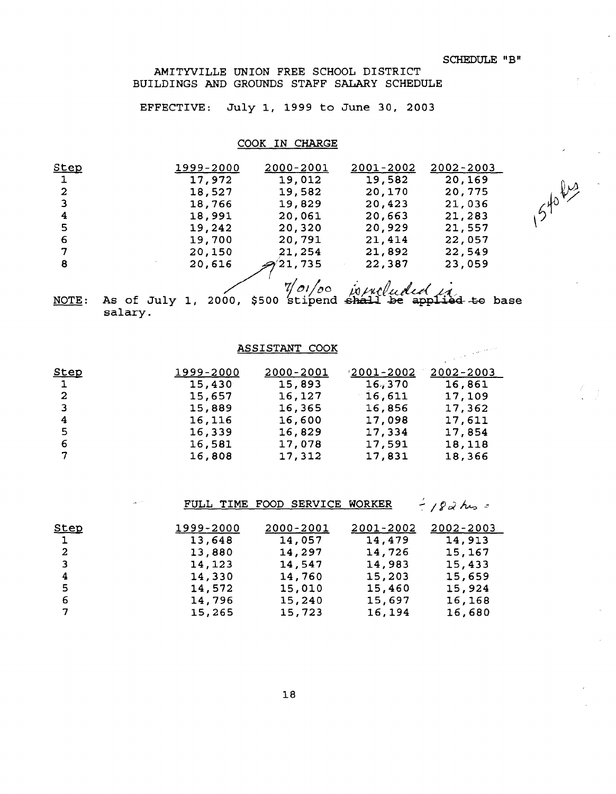**EFFECTIVE: July 1, 1999 to June 30, 2003** 

#### **COOK IN CHARGE**

| <u>Step</u> | 1999-2000 | 2000-2001               | $2001 - 2002$ | $2002 - 2003$ |                      |
|-------------|-----------|-------------------------|---------------|---------------|----------------------|
|             | 17,972    | 19,012                  | 19,582        | 20,169        |                      |
|             | 18,527    | 19,582                  | 20,170        | 20,775        | $\sqrt{\frac{1}{2}}$ |
|             | 18,766    | 19,829                  | 20,423        | 21,036        | $740^\circ$          |
|             | 18,991    | 20,061                  | 20,663        | 21,283        | $\sim$               |
| 5           | 19,242    | 20,320                  | 20,929        | 21,557        |                      |
| 6           | 19,700    | 20,791                  | 21,414        | 22,057        |                      |
|             | 20,150    | 21,254                  | 21,892        | 22,549        |                      |
| 8           | 20,616    | 21,735                  | 22,387        | 23,059        |                      |
|             |           | $H_{\alpha}$ , $\ell$ , |               |               |                      |

|         |  |  |  | NOTE: As of July 1, 2000, \$500 stipend shall be applied to base |  |
|---------|--|--|--|------------------------------------------------------------------|--|
| salary. |  |  |  |                                                                  |  |

#### **ASSISTANT COOK**

|             | ASSISTANT COOK |           |                 |               |
|-------------|----------------|-----------|-----------------|---------------|
| <u>Step</u> | 1999-2000      | 2000-2001 | $(2001 - 2002)$ | $2002 - 2003$ |
|             | 15,430         | 15,893    | 16,370          | 16,861        |
| 2           | 15,657         | 16,127    | $-16,611$       | 17,109        |
| 3           | 15,889         | 16,365    | 16,856          | 17,362        |
| 4           | 16,116         | 16,600    | 17,098          | 17,611        |
| 5           | 16,339         | 16,829    | 17,334          | 17,854        |
| 6           | 16,581         | 17,078    | 17,591          | 18,118        |
|             | 16,808         | 17,312    | 17,831          | 18,366        |

|                |           | FULL TIME FOOD SERVICE WORKER |           | $7/82$ hus =  |
|----------------|-----------|-------------------------------|-----------|---------------|
| <b>Step</b>    | 1999-2000 | 2000-2001                     | 2001-2002 | $2002 - 2003$ |
|                | 13,648    | 14,057                        | 14,479    | 14,913        |
| $\overline{2}$ | 13,880    | 14,297                        | 14,726    | 15,167        |
| 3              | 14,123    | 14,547                        | 14,983    | 15,433        |
| 4              | 14,330    | 14,760                        | 15,203    | 15,659        |
| 5              | 14,572    | 15,010                        | 15,460    | 15,924        |
| 6              | 14,796    | 15,240                        | 15,697    | 16,168        |
| 7              | 15,265    | 15,723                        | 16,194    | 16,680        |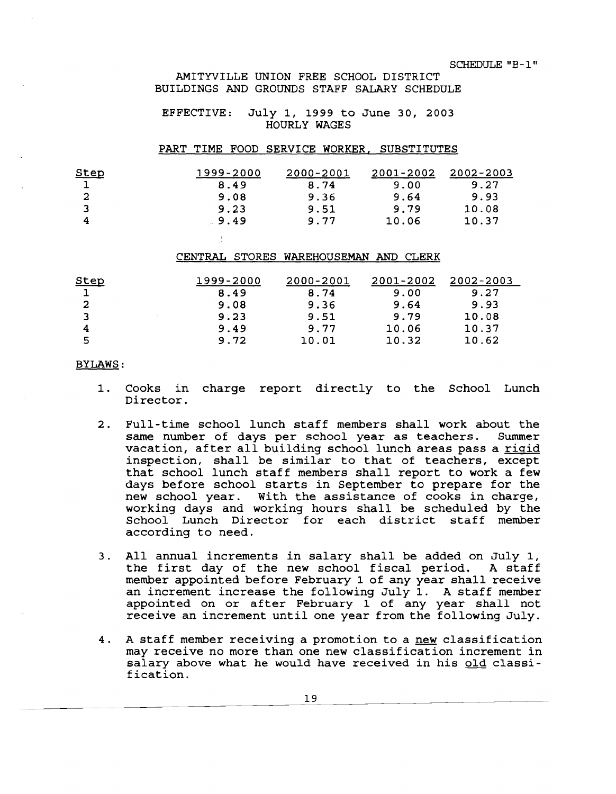SCHEDULE "B-1"

#### AMITYVILLE UNION FREE SCHOOL DISTRICT BUILDINGS AND GROUNDS STAFF SALARY SCHEDULE

#### EFFECTIVE: July 1, 1999 to June 30, 2003 HOURLY WAGES

#### PART TIME FOOD SERVICE WORKER, SUBSTITUTES

| <u>Step</u> | 1999-2000 | 2000-2001 | 2001-2002 | $2002 - 2003$ |
|-------------|-----------|-----------|-----------|---------------|
|             | 8.49      | 8.74      | 9.00      | 9.27          |
| - 2         | 9.08      | 9.36      | 9.64      | 9.93          |
| ર           | 9.23      | 9.51      | 9.79      | 10.08         |
|             | 9.49      | 9.77      | 10.06     | 10.37         |

#### CENTRAL STORES WAREHOUSEMAN AND CLERK

| <u>Step</u>  | 1999-2000 | 2000-2001 | 2001-2002 | 2002-2003 |
|--------------|-----------|-----------|-----------|-----------|
|              | 8.49      | 8.74      | 9.00      | 9.27      |
| $\mathbf{2}$ | 9.08      | 9.36      | 9.64      | 9.93      |
|              | 9.23      | 9.51      | 9.79      | 10.08     |
|              | 9.49      | 9.77      | 10.06     | 10.37     |
| 5            | 9.72      | 10.01     | 10.32     | 10.62     |

#### BYLAWS :

- Cooks in charge report directly to the School Lunch Director.
- 2. Full-time school lunch staff members shall work about the same number of days per school year as teachers. Summer same number of days per school year as teachers. vacation, after all building school lunch areas pass a risid inspection, shall be similar to that of teachers, except that school lunch staff members shall report to work a few days before school starts in September to prepare for the new school year. With the assistance of cooks in charge, working days and working hours shall be scheduled by the School Lunch Director for each district staff member according to need.
- 3. All annual increments in salary shall be added on July 1, the first day of the new school fiscal period. A staff member appointed before February 1 of any year shall receive an increment increase the following July 1. A staff member appointed on or after February 1 of any year shall not receive an increment until one year from the following July.
- **4.** A staff member receiving a promotion to a *new* classification may receive no more than one new classification increment in salary above what he would have received in his old classification.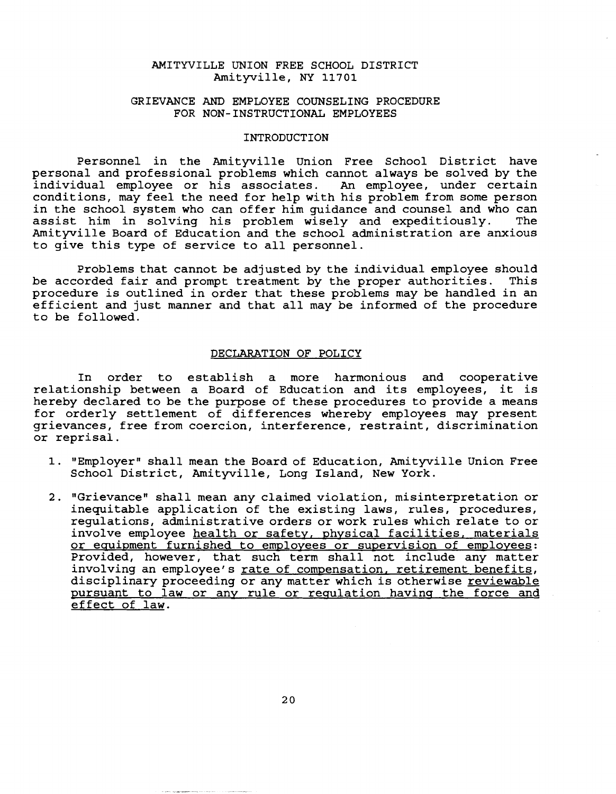#### AMITWILLE UNION FREE SCHOOL DISTRICT Amityville, **NY** 11701

#### GRIEVANCE AND EMPLOYEE COUNSELING PROCEDURE FOR NON-INSTRUCTIONAL EMPLOYEES

#### INTRODUCTION

Personnel in the Amityville Union Free School District have personal and professional problems which cannot always be solved by the individual employee or his associates. **An** employee, under certain conditions, may feel the need for help with his problem from some person in the school system who can offer him guidance and counsel and who can assist him in solving his problem wisely and expeditiously. The assist him in solving his problem wisely and expeditiously. Amityville Board of Education and the school administration are anxious to give this type of service to all personnel.

Problems that cannot be adjusted by the individual employee should<br>orded fair and prompt treatment by the proper authorities. This be accorded fair and prompt treatment by the proper authorities. procedure is outlined in order that these problems may be handled in an efficient and just manner and that all may be informed of the procedure to be followed.

#### DECLARATION OF POLICY

In order to establish a more harmonious and cooperative relationship between a Board of Education and its employees, it is hereby declared to be the purpose of these procedures to provide a means for orderly settlement of differences whereby employees may present grievances, free from coercion, interference, restraint, discrimination or reprisal.

- 1. "Employer" shall mean the Board of Education, Amityville Union Free School District, Amityville, Long Island, New York.
- 2. "Grievance" shall mean any claimed violation, misinterpretation or inequitable application of the existing laws, rules, procedures, regulations, administrative orders or work rules which relate to or involve employee health or safety, physical facilities, materials or equipment furnished to employees or supervision of employees: Provided, however, that such term shall not include any matter involving an employee's rate of compensation, retirement benefits, disciplinary proceeding or any matter which is otherwise reviewable pursuant to law or any rule or requlation havinq the force and effect of law.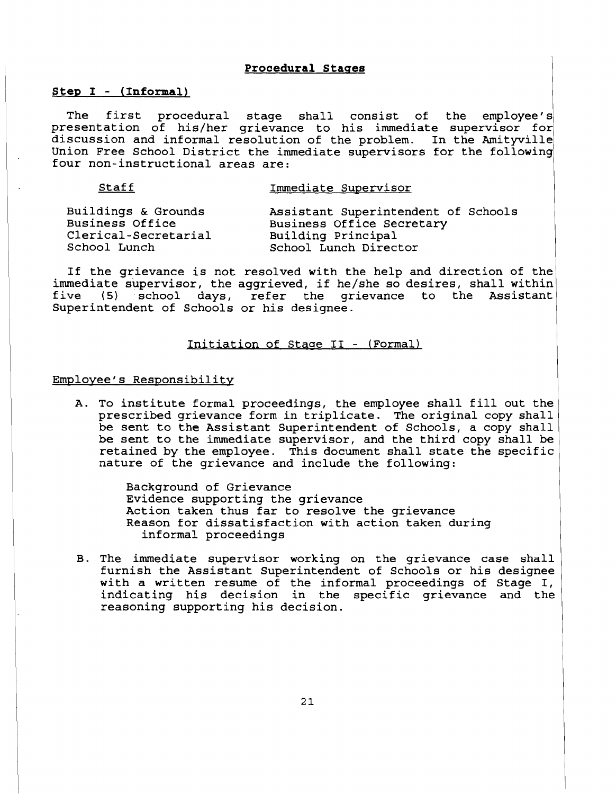#### **Procedural Stages**

#### **Step I** - **(Informal)**

The first procedural stage shall consist of the employee's presentation of his/her grievance to his immediate supervisor for discussion and informal resolution of the problem. In the Amityville Union Free School District the immediate supervisors for the following four non-instructional areas are:

| Buildings & Grounds<br>Assistant Superintendent of Schools<br>Business Office<br>Business Office Secretary<br>Clerical-Secretarial<br>Building Principal<br>School Lunch Director<br>School Lunch |  |
|---------------------------------------------------------------------------------------------------------------------------------------------------------------------------------------------------|--|

If the grievance is not resolved with the help and direction of the immediate supervisor, the aggrieved, if he/she so desires, shall within<br>five (5) school days, refer the grievance to the Assistant (5) school days, refer the grievance to the Assistant Superintendent of Schools or his designee.

#### Initiation of Stage II - (Formal)

#### Employee's Responsibility

A. To institute formal proceedings, the employee shall fill out the prescribed grievance form in triplicate. The original copy shall be sent to the Assistant Superintendent of Schools, a copy shall be sent to the immediate supervisor, and the third copy shall be retained by the employee. This document shall state the specific nature of the grievance and include the following:

> Background of Grievance Evidence supporting the grievance Action taken thus far to resolve the grievance Reason for dissatisfaction with action taken during informal proceedings

B. The immediate supervisor working on the grievance case shall furnish the Assistant Superintendent of Schools or his designee with a written resume of the informal proceedings of Stage I, indicating his decision in the specific grievance and the reasoning supporting his decision.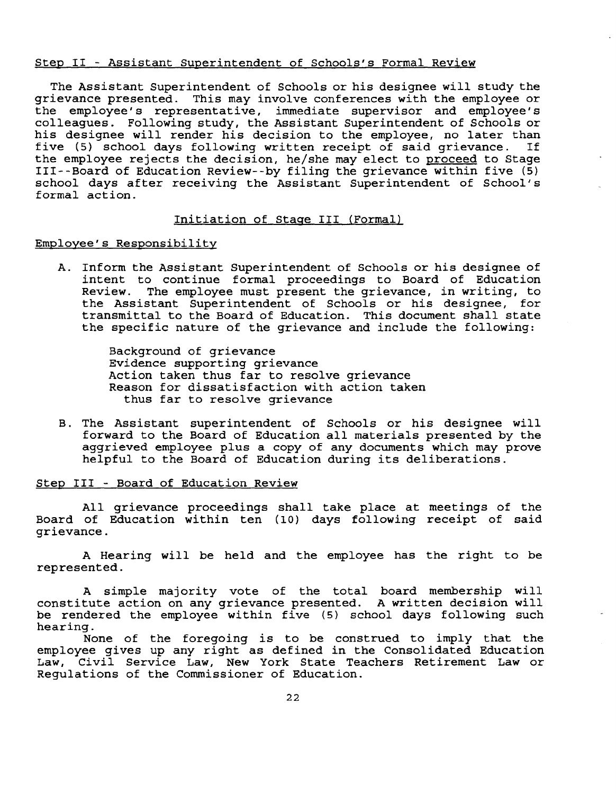#### Step II - Assistant Superintendent of Schools's Formal Review

The Assistant Superintendent of Schools or his designee will study the grievance presented. This may involve conferences with the employee or the employee's representative, immediate supervisor and employee's colleagues. Following study, the Assistant Superintendent of Schools or his designee will render his decision to the employee, no later than<br>five (5) school days following written receipt of said grievance. If five (5) school days following written receipt of said grievance. the employee rejects the decision, he/she may elect to proceed to Stage  $III$ --Board of Education Review--by filing the grievance within five (5) school days after receiving the Assistant Superintendent of School's formal action.

#### Initiation of Stage III (Formal)

#### Employee's Responsibility

A. Inform the Assistant Superintendent of Schools or his designee of intent to continue formal proceedings to Board of Education Review. The employee must present the grievance, in writing, to the Assistant Superintendent of Schools or his designee, for transmittal to the Board of Education. This document shall state the specific nature of the grievance and include the following:

> Background of grievance Evidence supporting grievance Action taken thus far to resolve grievance Reason for dissatisfaction with action taken thus far to resolve grievance

B. The Assistant superintendent of Schools or his designee will forward to the Board of Education all materials presented by the aggrieved employee plus a copy of any documents which may prove helpful to the Board of Education during its deliberations.

#### Step I11 - Board of Education Review

All grievance proceedings shall take place at meetings of the Board of Education within ten (10) days following receipt of said grievance.

A Hearing will be held and the employee has the right to be represented.

**A** simple majority vote of the total board membership will constitute action on any grievance presented. A written decision will be rendered the employee within five (5) school days following such hearing.

None of the foregoing is to be construed to imply that the employee gives up any right as defined in the Consolidated Education Law, Civil Service Law, New York State Teachers Retirement Law or Regulations of the Commissioner of Education.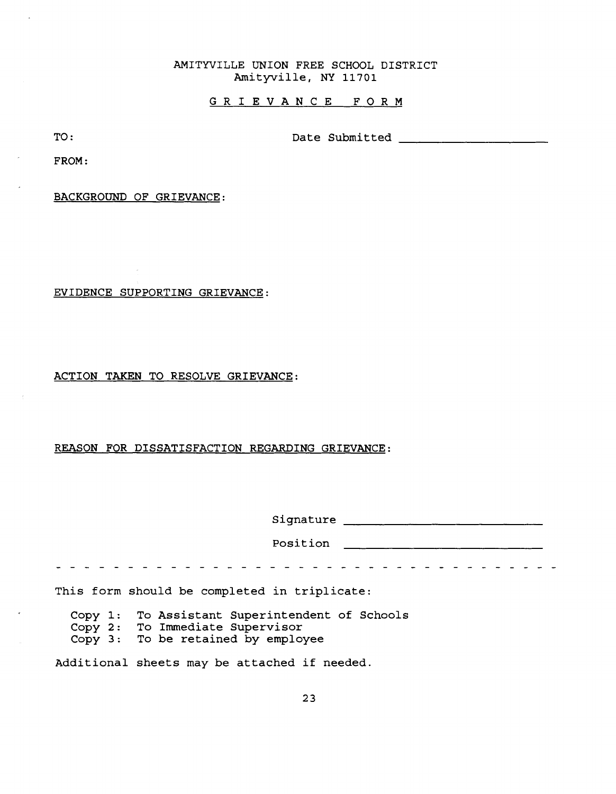#### AMITYVILLE UNION FREE SCHOOL DISTRICT Amityville, **NY** 11701

#### GRIEVANCE FORM

TO :

 $\blacksquare$ 

Date Submitted

FROM :

BACKGROUND OF GRIEVANCE:

EVIDENCE SUPPORTING GRIEVANCE:

ACTION TAKEN TO RESOLVE GRIEVANCE:

REASON FOR DISSATISFACTION REGARDING GRIEVANCE:

| Signature                                                                                                               |
|-------------------------------------------------------------------------------------------------------------------------|
| Position                                                                                                                |
|                                                                                                                         |
| This form should be completed in triplicate:                                                                            |
| Copy 1: To Assistant Superintendent of Schools<br>Copy 2: To Immediate Supervisor<br>Copy 3: To be retained by employee |
| Additional sheets may be attached if needed.                                                                            |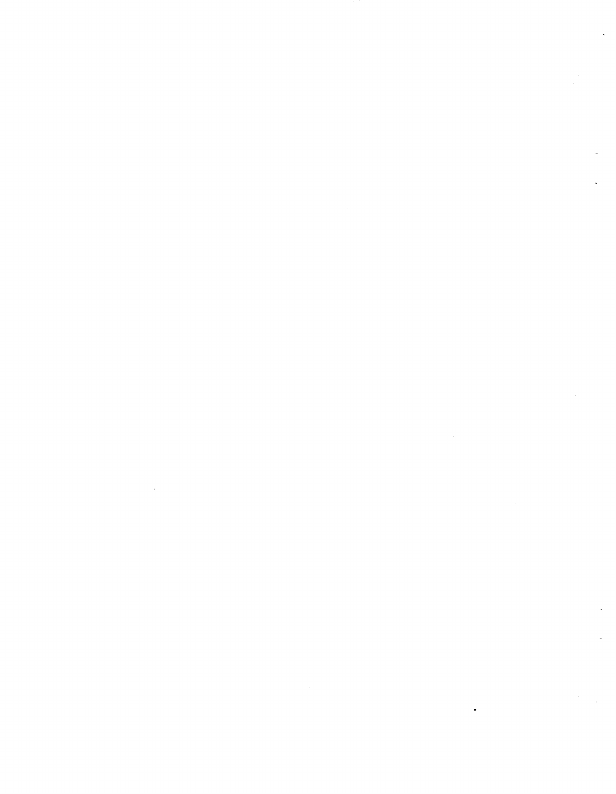$\hat{\mathbf{A}}$  $\hat{\mathcal{E}}$  $\sim$  $\sim 10^{-1}$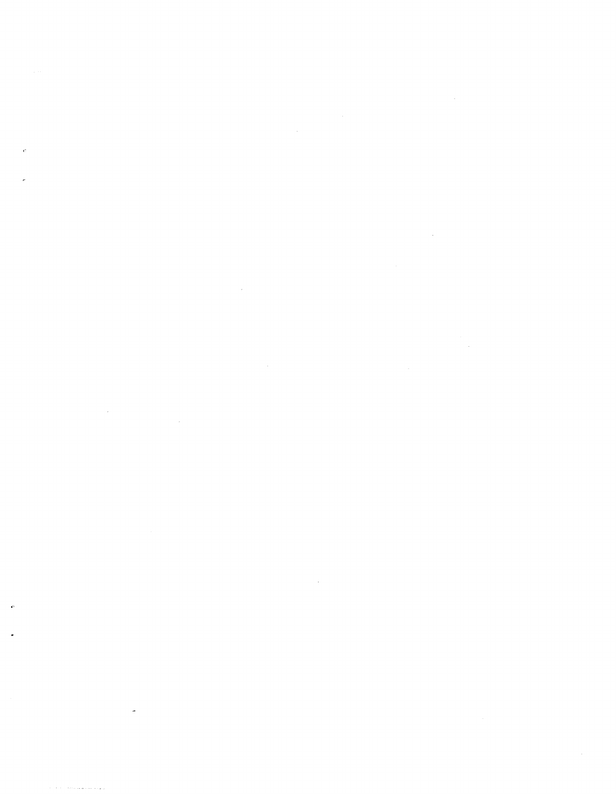$\label{eq:2.1} \frac{1}{\sqrt{2}}\int_{0}^{\infty}\frac{1}{\sqrt{2\pi}}\left(\frac{1}{\sqrt{2\pi}}\right)^{2}d\mu\left(\frac{1}{\sqrt{2\pi}}\right)\frac{d\mu}{d\mu}d\mu\left(\frac{1}{\sqrt{2\pi}}\right).$ 

 $\label{eq:2.1} \frac{1}{\sqrt{2}}\int_{\mathbb{R}^3}\frac{1}{\sqrt{2}}\left(\frac{1}{\sqrt{2}}\right)^2\frac{1}{\sqrt{2}}\left(\frac{1}{\sqrt{2}}\right)^2\frac{1}{\sqrt{2}}\left(\frac{1}{\sqrt{2}}\right)^2\frac{1}{\sqrt{2}}\left(\frac{1}{\sqrt{2}}\right)^2\frac{1}{\sqrt{2}}\left(\frac{1}{\sqrt{2}}\right)^2\frac{1}{\sqrt{2}}\frac{1}{\sqrt{2}}\frac{1}{\sqrt{2}}\frac{1}{\sqrt{2}}\frac{1}{\sqrt{2}}\frac{1}{\sqrt{2}}$  $\label{eq:2.1} \frac{1}{\sqrt{2}}\int_{0}^{\infty}\frac{1}{\sqrt{2\pi}}\left(\frac{1}{\sqrt{2\pi}}\right)^{2}d\mu\left(\frac{1}{\sqrt{2\pi}}\right)\frac{d\mu}{d\mu} \,d\mu\left(\frac{1}{\sqrt{2\pi}}\right).$  $\label{eq:2.1} \mathcal{L}(\mathcal{L}(\mathcal{L})) = \mathcal{L}(\mathcal{L}(\mathcal{L})) = \mathcal{L}(\mathcal{L}(\mathcal{L})) = \mathcal{L}(\mathcal{L}(\mathcal{L}))$ 

 $\label{eq:2.1} \frac{1}{\sqrt{2}}\int_{\mathbb{R}^3}\frac{1}{\sqrt{2}}\left(\frac{1}{\sqrt{2}}\right)^2\frac{1}{\sqrt{2}}\left(\frac{1}{\sqrt{2}}\right)^2\frac{1}{\sqrt{2}}\left(\frac{1}{\sqrt{2}}\right)^2\frac{1}{\sqrt{2}}\left(\frac{1}{\sqrt{2}}\right)^2.$ 

 $\mathcal{L}^{\text{max}}_{\text{max}}$ 

 $\sim 10^6$